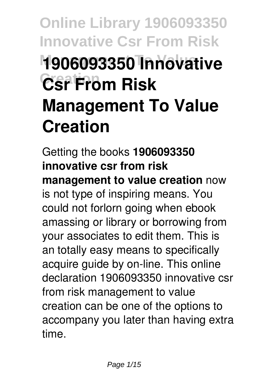# **Online Library 1906093350 Innovative Csr From Risk Management To Value 1906093350 Innovative Creation Csr From Risk Management To Value Creation**

Getting the books **1906093350 innovative csr from risk management to value creation** now is not type of inspiring means. You could not forlorn going when ebook amassing or library or borrowing from your associates to edit them. This is an totally easy means to specifically acquire guide by on-line. This online declaration 1906093350 innovative csr from risk management to value creation can be one of the options to accompany you later than having extra time.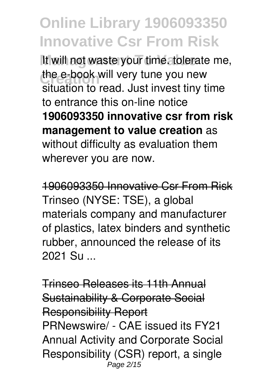It will not waste your time. tolerate me, the e-book will very tune you new situation to read. Just invest tiny time to entrance this on-line notice **1906093350 innovative csr from risk management to value creation** as without difficulty as evaluation them wherever you are now.

1906093350 Innovative Csr From Risk Trinseo (NYSE: TSE), a global materials company and manufacturer of plastics, latex binders and synthetic rubber, announced the release of its 2021 Su ...

Trinseo Releases its 11th Annual Sustainability & Corporate Social Responsibility Report PRNewswire/ - CAE issued its FY21 Annual Activity and Corporate Social Responsibility (CSR) report, a single Page 2/15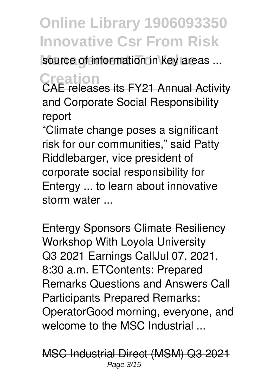source of information in key areas ...

**Creation** CAE releases its FY21 Annual Activity and Corporate Social Responsibility report

"Climate change poses a significant risk for our communities," said Patty Riddlebarger, vice president of corporate social responsibility for Entergy ... to learn about innovative storm water ...

Entergy Sponsors Climate Resiliency Workshop With Loyola University Q3 2021 Earnings CallJul 07, 2021, 8:30 a.m. ETContents: Prepared Remarks Questions and Answers Call Participants Prepared Remarks: OperatorGood morning, everyone, and welcome to the MSC Industrial ...

MSC Industrial Direct (MSM) Q3 2021 Page 3/15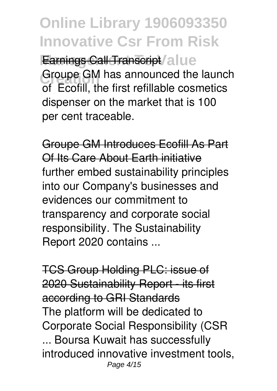**Online Library 1906093350 Innovative Csr From Risk** Earnings Call Transcript / alue Groupe GM has announced the launch<br>
of **Factill** the first refillable accounting of Ecofill, the first refillable cosmetics dispenser on the market that is 100 per cent traceable.

Groupe GM Introduces Ecofill As Part Of Its Care About Earth initiative further embed sustainability principles into our Company's businesses and evidences our commitment to transparency and corporate social responsibility. The Sustainability Report 2020 contains ...

TCS Group Holding PLC: issue of 2020 Sustainability Report - its first according to GRI Standards The platform will be dedicated to Corporate Social Responsibility (CSR ... Boursa Kuwait has successfully introduced innovative investment tools, Page 4/15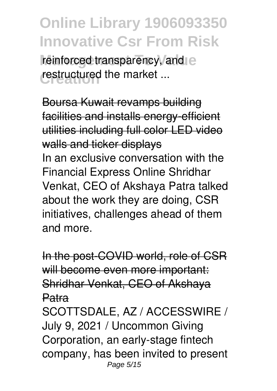reinforced transparency, and e restructured the market ...

Boursa Kuwait revamps building facilities and installs energy-efficient utilities including full color LED video walls and ticker displays In an exclusive conversation with the Financial Express Online Shridhar Venkat, CEO of Akshaya Patra talked about the work they are doing, CSR initiatives, challenges ahead of them and more.

In the post-COVID world, role of CSR will become even more important: Shridhar Venkat, CEO of Akshaya Patra SCOTTSDALE, AZ / ACCESSWIRE / July 9, 2021 / Uncommon Giving Corporation, an early-stage fintech company, has been invited to present Page 5/15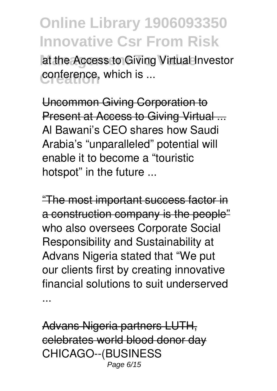at the Access to Giving Virtual Investor conference, which is ...

Uncommon Giving Corporation to Present at Access to Giving Virtual ... Al Bawani's CEO shares how Saudi Arabia's "unparalleled" potential will enable it to become a "touristic hotspot" in the future ...

"The most important success factor in a construction company is the people" who also oversees Corporate Social Responsibility and Sustainability at Advans Nigeria stated that "We put our clients first by creating innovative financial solutions to suit underserved ...

Advans Nigeria partners LUTH, celebrates world blood donor day CHICAGO--(BUSINESS Page 6/15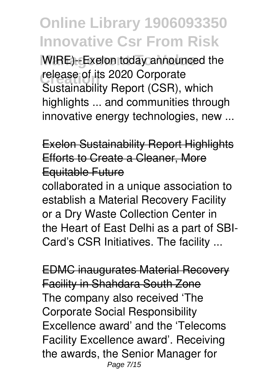WIRE)--Exelon today announced the **release of its 2020 Corporate** Sustainability Report (CSR), which highlights ... and communities through innovative energy technologies, new ...

Exelon Sustainability Report Highlights Efforts to Create a Cleaner, More Equitable Future

collaborated in a unique association to establish a Material Recovery Facility or a Dry Waste Collection Center in the Heart of East Delhi as a part of SBI-Card's CSR Initiatives. The facility ...

EDMC inaugurates Material Recovery Facility in Shahdara South Zone The company also received 'The Corporate Social Responsibility Excellence award' and the 'Telecoms Facility Excellence award'. Receiving the awards, the Senior Manager for Page 7/15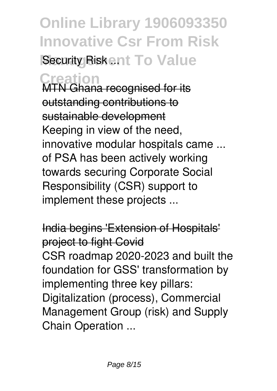# **Online Library 1906093350 Innovative Csr From Risk Security Riskent To Value**

**Creation** MTN Ghana recognised for its outstanding contributions to sustainable development Keeping in view of the need, innovative modular hospitals came ... of PSA has been actively working towards securing Corporate Social Responsibility (CSR) support to implement these projects ...

India begins 'Extension of Hospitals' project to fight Covid CSR roadmap 2020-2023 and built the foundation for GSS' transformation by implementing three key pillars: Digitalization (process), Commercial Management Group (risk) and Supply Chain Operation ...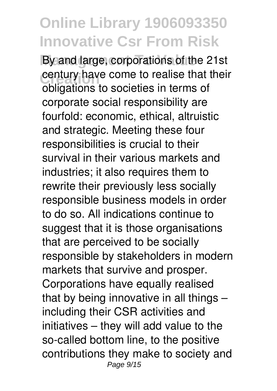By and large, corporations of the 21st century have come to realise that their<br>chlisations to conisting in terms of obligations to societies in terms of corporate social responsibility are fourfold: economic, ethical, altruistic and strategic. Meeting these four responsibilities is crucial to their survival in their various markets and industries; it also requires them to rewrite their previously less socially responsible business models in order to do so. All indications continue to suggest that it is those organisations that are perceived to be socially responsible by stakeholders in modern markets that survive and prosper. Corporations have equally realised that by being innovative in all things – including their CSR activities and initiatives – they will add value to the so-called bottom line, to the positive contributions they make to society and Page 9/15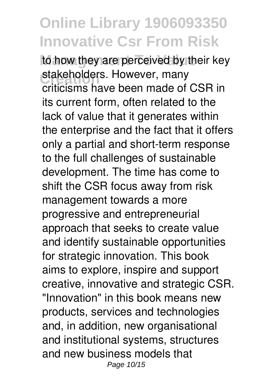to how they are perceived by their key stakeholders. However, many criticisms have been made of CSR in its current form, often related to the lack of value that it generates within the enterprise and the fact that it offers only a partial and short-term response to the full challenges of sustainable development. The time has come to shift the CSR focus away from risk management towards a more progressive and entrepreneurial approach that seeks to create value and identify sustainable opportunities for strategic innovation. This book aims to explore, inspire and support creative, innovative and strategic CSR. "Innovation" in this book means new products, services and technologies and, in addition, new organisational and institutional systems, structures and new business models that Page 10/15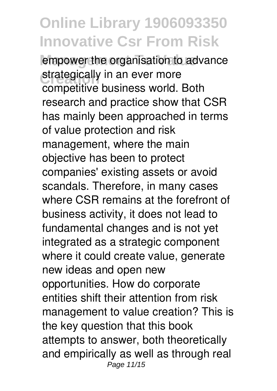empower the organisation to advance strategically in an ever more competitive business world. Both research and practice show that CSR has mainly been approached in terms of value protection and risk management, where the main objective has been to protect companies' existing assets or avoid scandals. Therefore, in many cases where CSR remains at the forefront of business activity, it does not lead to fundamental changes and is not yet integrated as a strategic component where it could create value, generate new ideas and open new opportunities. How do corporate entities shift their attention from risk management to value creation? This is the key question that this book attempts to answer, both theoretically and empirically as well as through real Page 11/15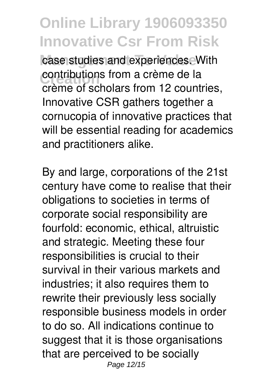case studies and experiences. With contributions from a crème de la<br>crème et eshelere from 10 seunt crème of scholars from 12 countries, Innovative CSR gathers together a cornucopia of innovative practices that will be essential reading for academics and practitioners alike.

By and large, corporations of the 21st century have come to realise that their obligations to societies in terms of corporate social responsibility are fourfold: economic, ethical, altruistic and strategic. Meeting these four responsibilities is crucial to their survival in their various markets and industries; it also requires them to rewrite their previously less socially responsible business models in order to do so. All indications continue to suggest that it is those organisations that are perceived to be socially Page 12/15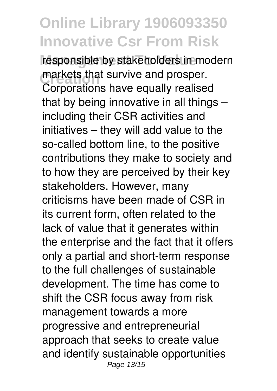responsible by stakeholders in modern markets that survive and prosper.<br>Comparational have equally realize Corporations have equally realised that by being innovative in all things – including their CSR activities and initiatives – they will add value to the so-called bottom line, to the positive contributions they make to society and to how they are perceived by their key stakeholders. However, many criticisms have been made of CSR in its current form, often related to the lack of value that it generates within the enterprise and the fact that it offers only a partial and short-term response to the full challenges of sustainable development. The time has come to shift the CSR focus away from risk management towards a more progressive and entrepreneurial approach that seeks to create value and identify sustainable opportunities Page 13/15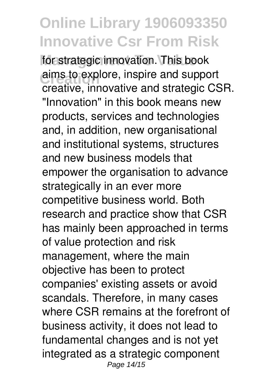for strategic innovation. This book aims to explore, inspire and support creative, innovative and strategic CSR. "Innovation" in this book means new products, services and technologies and, in addition, new organisational and institutional systems, structures and new business models that empower the organisation to advance strategically in an ever more competitive business world. Both research and practice show that CSR has mainly been approached in terms of value protection and risk management, where the main objective has been to protect companies' existing assets or avoid scandals. Therefore, in many cases where CSR remains at the forefront of business activity, it does not lead to fundamental changes and is not yet integrated as a strategic component Page 14/15